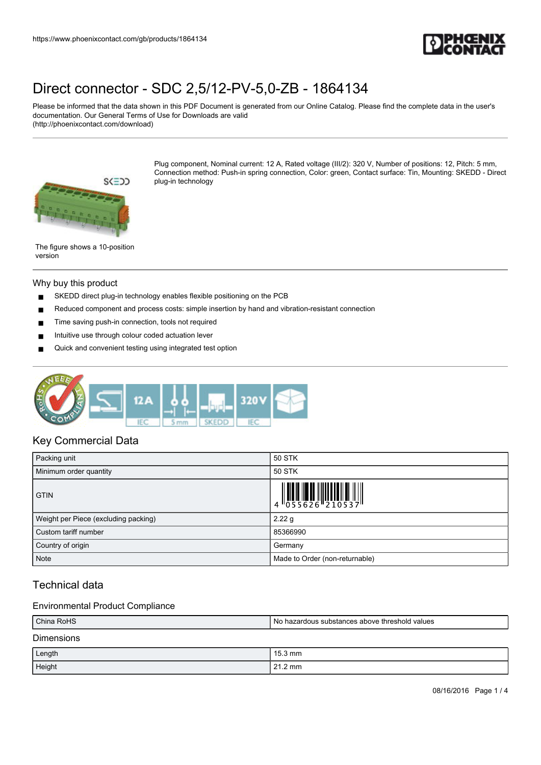

Please be informed that the data shown in this PDF Document is generated from our Online Catalog. Please find the complete data in the user's documentation. Our General Terms of Use for Downloads are valid (http://phoenixcontact.com/download)



Plug component, Nominal current: 12 A, Rated voltage (III/2): 320 V, Number of positions: 12, Pitch: 5 mm, Connection method: Push-in spring connection, Color: green, Contact surface: Tin, Mounting: SKEDD - Direct plug-in technology

The figure shows a 10-position version

#### Why buy this product

- SKEDD direct plug-in technology enables flexible positioning on the PCB
- Reduced component and process costs: simple insertion by hand and vibration-resistant connection
- Time saving push-in connection, tools not required
- Intuitive use through colour coded actuation lever
- Quick and convenient testing using integrated test option



### Key Commercial Data

| Packing unit                         | 50 STK                         |
|--------------------------------------|--------------------------------|
| Minimum order quantity               | 50 STK                         |
| <b>GTIN</b>                          |                                |
| Weight per Piece (excluding packing) | 2.22 g                         |
| Custom tariff number                 | 85366990                       |
| Country of origin                    | Germany                        |
| <b>Note</b>                          | Made to Order (non-returnable) |

### Technical data

### Environmental Product Compliance

| China RoHS        | l No hazardous substances above threshold values |  |
|-------------------|--------------------------------------------------|--|
| <b>Dimensions</b> |                                                  |  |
| Length            | $15.3 \text{ mm}$                                |  |
| Height            | $21.2 \text{ mm}$                                |  |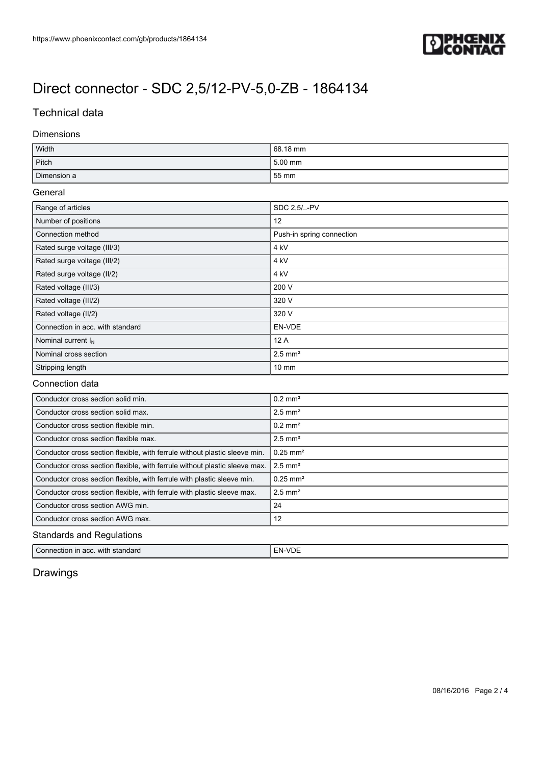

### Technical data

### Dimensions

| Width       | 68.18 mm |
|-------------|----------|
| Pitch       | 5.00 mm  |
| Dimension a | 55 mm    |

#### General

| Range of articles                | SDC 2.5/-PV               |
|----------------------------------|---------------------------|
| Number of positions              | 12                        |
| Connection method                | Push-in spring connection |
| Rated surge voltage (III/3)      | 4 kV                      |
| Rated surge voltage (III/2)      | 4 <sub>kV</sub>           |
| Rated surge voltage (II/2)       | 4 kV                      |
| Rated voltage (III/3)            | 200 V                     |
| Rated voltage (III/2)            | 320 V                     |
| Rated voltage (II/2)             | 320 V                     |
| Connection in acc. with standard | EN-VDE                    |
| Nominal current $I_N$            | 12A                       |
| Nominal cross section            | $2.5$ mm <sup>2</sup>     |
| Stripping length                 | $10 \text{ mm}$           |

### Connection data

| Conductor cross section solid min.                                         | $0.2$ mm <sup>2</sup>  |  |
|----------------------------------------------------------------------------|------------------------|--|
| Conductor cross section solid max.                                         | $2.5$ mm <sup>2</sup>  |  |
| Conductor cross section flexible min.                                      | $0.2$ mm <sup>2</sup>  |  |
| Conductor cross section flexible max.                                      | $2.5$ mm <sup>2</sup>  |  |
| Conductor cross section flexible, with ferrule without plastic sleeve min. | $0.25 \text{ mm}^2$    |  |
| Conductor cross section flexible, with ferrule without plastic sleeve max. | $2.5$ mm <sup>2</sup>  |  |
| Conductor cross section flexible, with ferrule with plastic sleeve min.    | $0.25$ mm <sup>2</sup> |  |
| Conductor cross section flexible, with ferrule with plastic sleeve max.    | $2.5$ mm <sup>2</sup>  |  |
| Conductor cross section AWG min.                                           | 24                     |  |
| Conductor cross section AWG max.                                           | 12                     |  |
| <b>Standards and Regulations</b>                                           |                        |  |

| Connection in<br><b>FN-VD</b><br>standard<br>with<br>າ acc. | -- |
|-------------------------------------------------------------|----|
|-------------------------------------------------------------|----|

## Drawings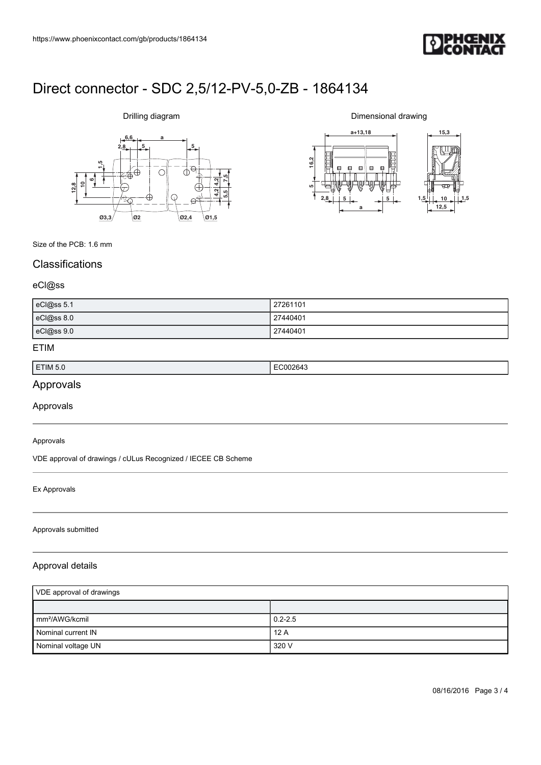

# **6,6 a**  $2,8$   $5$ **612,810 1,5 7,5 5,5 4,2 4,2 Ø3,3 Ø2 Ø2,4 Ø1,5**

Drilling diagram

Dimensional drawing



Size of the PCB: 1.6 mm

### **Classifications**

### eCl@ss

| eCl@ss 5.1 | 27261101 |
|------------|----------|
| eCl@ss 8.0 | 27440401 |
| eCl@ss 9.0 | 27440401 |

### ETIM

| ETIM 5.0 | $\sim$<br>-11176<br>04.<br>. |
|----------|------------------------------|
|          |                              |

## Approvals

Approvals

#### Approvals

VDE approval of drawings / cULus Recognized / IECEE CB Scheme

#### Ex Approvals

#### Approvals submitted

### Approval details

| VDE approval of drawings   |             |
|----------------------------|-------------|
|                            |             |
| mm <sup>2</sup> /AWG/kcmil | $0.2 - 2.5$ |
| Nominal current IN         | 12A         |
| Nominal voltage UN         | 320 V       |